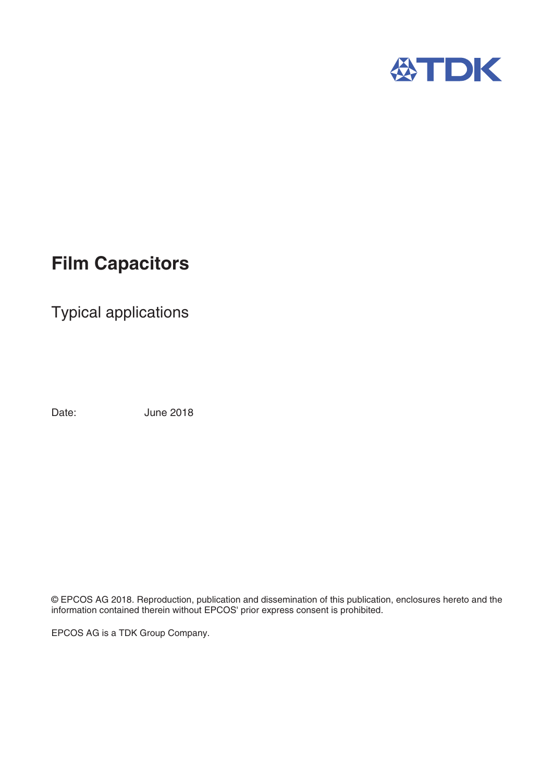

## **Film Capacitors**

Typical applications

Date: June 2018

© EPCOS AG 2018. Reproduction, publication and dissemination of this publication, enclosures hereto and the information contained therein without EPCOS' prior express consent is prohibited.

EPCOS AG is a TDK Group Company.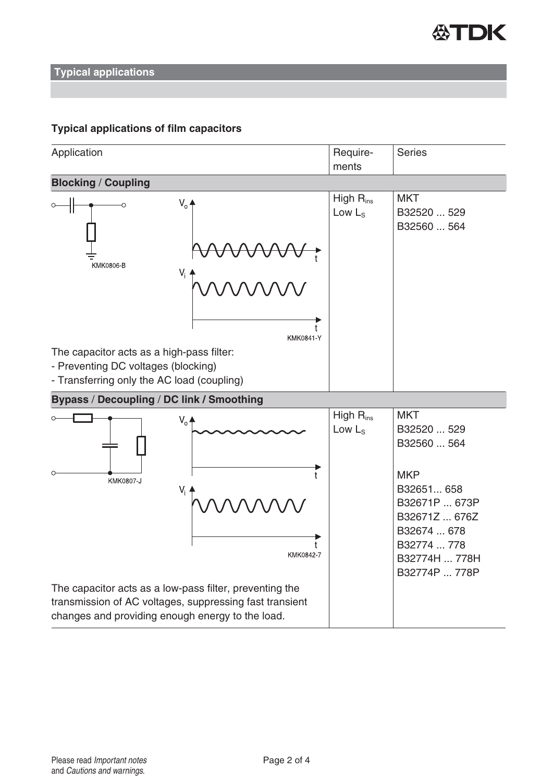

**Typical applications**

## **Typical applications of film capacitors**

| Application                                                                                                                                                            | Require-<br>ments           | <b>Series</b>                                                                                                                                                          |  |
|------------------------------------------------------------------------------------------------------------------------------------------------------------------------|-----------------------------|------------------------------------------------------------------------------------------------------------------------------------------------------------------------|--|
| <b>Blocking / Coupling</b>                                                                                                                                             |                             |                                                                                                                                                                        |  |
| $V_0$ $\triangleq$<br>, , , , , , , ,<br>KMK0806-B<br>KMK0841-Y<br>The capacitor acts as a high-pass filter:                                                           | High $R_{ins}$<br>Low $L_S$ | <b>MKT</b><br>B32520  529<br>B32560  564                                                                                                                               |  |
| - Preventing DC voltages (blocking)<br>- Transferring only the AC load (coupling)                                                                                      |                             |                                                                                                                                                                        |  |
| Bypass / Decoupling / DC link / Smoothing                                                                                                                              |                             |                                                                                                                                                                        |  |
| $V_{o}$ $\triangle$<br>KMK0807-J<br>$V_i$<br>KMK0842-7                                                                                                                 | High $R_{ins}$<br>Low $Ls$  | <b>MKT</b><br>B32520  529<br>B32560  564<br><b>MKP</b><br>B32651 658<br>B32671P  673P<br>B32671Z  676Z<br>B32674  678<br>B32774  778<br>B32774H  778H<br>B32774P  778P |  |
| The capacitor acts as a low-pass filter, preventing the<br>transmission of AC voltages, suppressing fast transient<br>changes and providing enough energy to the load. |                             |                                                                                                                                                                        |  |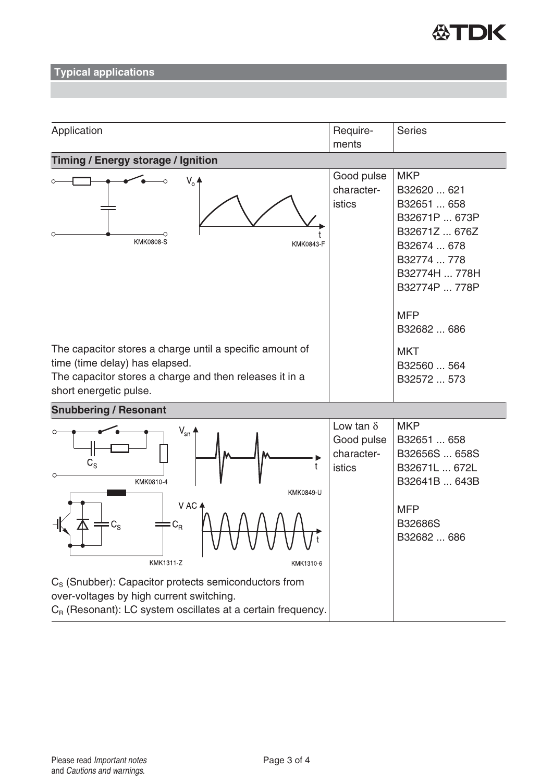

**Typical applications**

| Application                                                                                                                                                                     | Require-                                                      | <b>Series</b>                                                                                                                                                           |  |
|---------------------------------------------------------------------------------------------------------------------------------------------------------------------------------|---------------------------------------------------------------|-------------------------------------------------------------------------------------------------------------------------------------------------------------------------|--|
|                                                                                                                                                                                 | ments                                                         |                                                                                                                                                                         |  |
| <b>Timing / Energy storage / Ignition</b>                                                                                                                                       |                                                               |                                                                                                                                                                         |  |
| $V_0$ $\triangleq$<br><b>KMK0808-S</b><br>KMK0843-F                                                                                                                             | Good pulse<br>character-<br>istics                            | <b>MKP</b><br>B32620  621<br>B32651  658<br>B32671P  673P<br>B32671Z  676Z<br>B32674  678<br>B32774  778<br>B32774H  778H<br>B32774P  778P<br><b>MFP</b><br>B32682  686 |  |
| The capacitor stores a charge until a specific amount of<br>time (time delay) has elapsed.<br>The capacitor stores a charge and then releases it in a<br>short energetic pulse. |                                                               | <b>MKT</b><br>B32560  564<br>B32572  573                                                                                                                                |  |
| <b>Snubbering / Resonant</b>                                                                                                                                                    |                                                               |                                                                                                                                                                         |  |
| $V_{\rm sn}$<br>$\mathtt{C_{S}}$<br>KMK0810-4<br>KMK0849-U<br>V AC ⊿                                                                                                            | Low tan $\delta$<br>Good pulse<br>character-<br><b>istics</b> | <b>MKP</b><br>B32651  658<br>B32656S  658S<br>B32671L  672L<br>B32641B  643B<br><b>MFP</b>                                                                              |  |
| $\mathrm{C_{R}}$<br>$C_S$<br>KMK1311-Z<br>KMK1310-6                                                                                                                             |                                                               | <b>B32686S</b><br>B32682  686                                                                                                                                           |  |
| C <sub>s</sub> (Snubber): Capacitor protects semiconductors from<br>over-voltages by high current switching.<br>$C_R$ (Resonant): LC system oscillates at a certain frequency.  |                                                               |                                                                                                                                                                         |  |